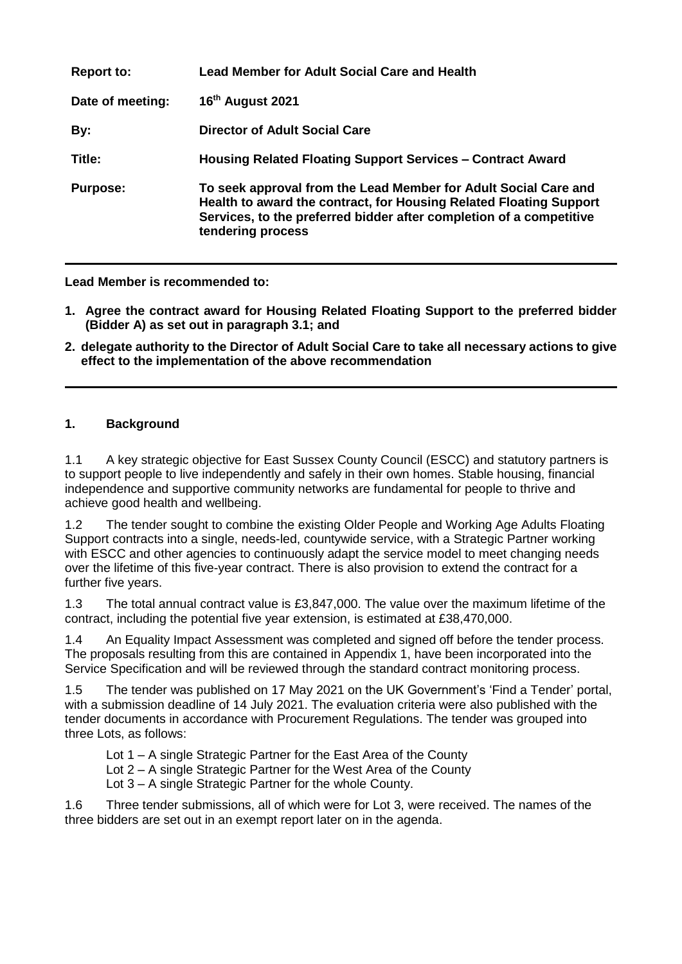| <b>Report to:</b> | <b>Lead Member for Adult Social Care and Health</b>                                                                                                                                                                               |
|-------------------|-----------------------------------------------------------------------------------------------------------------------------------------------------------------------------------------------------------------------------------|
| Date of meeting:  | 16th August 2021                                                                                                                                                                                                                  |
| By:               | <b>Director of Adult Social Care</b>                                                                                                                                                                                              |
| Title:            | Housing Related Floating Support Services - Contract Award                                                                                                                                                                        |
| <b>Purpose:</b>   | To seek approval from the Lead Member for Adult Social Care and<br>Health to award the contract, for Housing Related Floating Support<br>Services, to the preferred bidder after completion of a competitive<br>tendering process |

**Lead Member is recommended to:** 

- **1. Agree the contract award for Housing Related Floating Support to the preferred bidder (Bidder A) as set out in paragraph 3.1; and**
- **2. delegate authority to the Director of Adult Social Care to take all necessary actions to give effect to the implementation of the above recommendation**

# **1. Background**

1.1 A key strategic objective for East Sussex County Council (ESCC) and statutory partners is to support people to live independently and safely in their own homes. Stable housing, financial independence and supportive community networks are fundamental for people to thrive and achieve good health and wellbeing.

1.2 The tender sought to combine the existing Older People and Working Age Adults Floating Support contracts into a single, needs-led, countywide service, with a Strategic Partner working with ESCC and other agencies to continuously adapt the service model to meet changing needs over the lifetime of this five-year contract. There is also provision to extend the contract for a further five years.

1.3 The total annual contract value is £3,847,000. The value over the maximum lifetime of the contract, including the potential five year extension, is estimated at £38,470,000.

1.4 An Equality Impact Assessment was completed and signed off before the tender process. The proposals resulting from this are contained in Appendix 1, have been incorporated into the Service Specification and will be reviewed through the standard contract monitoring process.

1.5 The tender was published on 17 May 2021 on the UK Government's 'Find a Tender' portal, with a submission deadline of 14 July 2021. The evaluation criteria were also published with the tender documents in accordance with Procurement Regulations. The tender was grouped into three Lots, as follows:

- Lot 1 A single Strategic Partner for the East Area of the County
- Lot 2 A single Strategic Partner for the West Area of the County
- Lot 3 A single Strategic Partner for the whole County.

1.6 Three tender submissions, all of which were for Lot 3, were received. The names of the three bidders are set out in an exempt report later on in the agenda.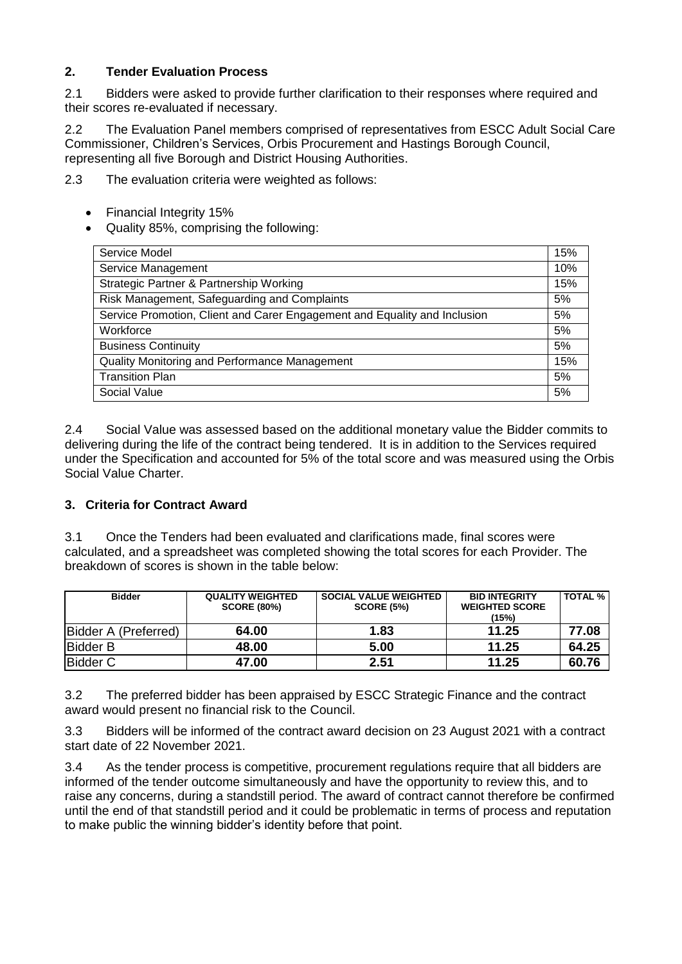### **2. Tender Evaluation Process**

2.1 Bidders were asked to provide further clarification to their responses where required and their scores re-evaluated if necessary.

2.2 The Evaluation Panel members comprised of representatives from ESCC Adult Social Care Commissioner, Children's Services, Orbis Procurement and Hastings Borough Council, representing all five Borough and District Housing Authorities.

2.3 The evaluation criteria were weighted as follows:

- Financial Integrity 15%
- Quality 85%, comprising the following:

| Service Model                                                             | 15% |  |
|---------------------------------------------------------------------------|-----|--|
| Service Management                                                        |     |  |
| Strategic Partner & Partnership Working                                   |     |  |
| Risk Management, Safeguarding and Complaints                              |     |  |
| Service Promotion, Client and Carer Engagement and Equality and Inclusion |     |  |
| Workforce                                                                 | 5%  |  |
| <b>Business Continuity</b>                                                | 5%  |  |
| Quality Monitoring and Performance Management                             |     |  |
| <b>Transition Plan</b>                                                    |     |  |
| Social Value                                                              |     |  |

2.4 Social Value was assessed based on the additional monetary value the Bidder commits to delivering during the life of the contract being tendered. It is in addition to the Services required under the Specification and accounted for 5% of the total score and was measured using the Orbis Social Value Charter.

# **3. Criteria for Contract Award**

3.1 Once the Tenders had been evaluated and clarifications made, final scores were calculated, and a spreadsheet was completed showing the total scores for each Provider. The breakdown of scores is shown in the table below:

| <b>Bidder</b>        | <b>QUALITY WEIGHTED</b><br><b>SCORE (80%)</b> | <b>SOCIAL VALUE WEIGHTED</b><br><b>SCORE (5%)</b> | <b>BID INTEGRITY</b><br><b>WEIGHTED SCORE</b><br>$15\%$ | <b>TOTAL %</b> |
|----------------------|-----------------------------------------------|---------------------------------------------------|---------------------------------------------------------|----------------|
| Bidder A (Preferred) | 64.00                                         | 1.83                                              | 11.25                                                   | 77.08          |
| <b>IBidder B</b>     | 48.00                                         | 5.00                                              | 11.25                                                   | 64.25          |
| Bidder C             | 47.00                                         | 2.51                                              | 11.25                                                   | 60.76          |

3.2 The preferred bidder has been appraised by ESCC Strategic Finance and the contract award would present no financial risk to the Council.

3.3 Bidders will be informed of the contract award decision on 23 August 2021 with a contract start date of 22 November 2021.

3.4 As the tender process is competitive, procurement regulations require that all bidders are informed of the tender outcome simultaneously and have the opportunity to review this, and to raise any concerns, during a standstill period. The award of contract cannot therefore be confirmed until the end of that standstill period and it could be problematic in terms of process and reputation to make public the winning bidder's identity before that point.